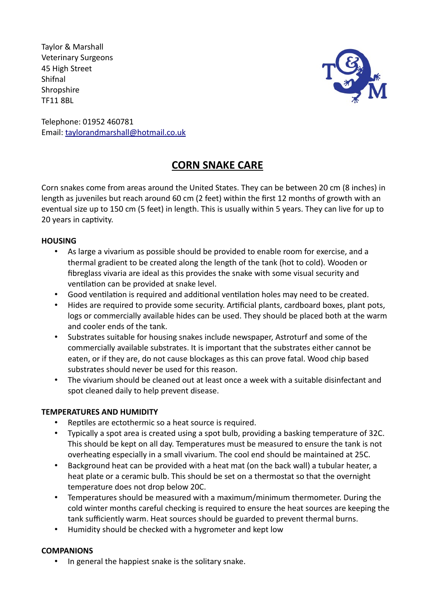Taylor & Marshall Veterinary Surgeons 45 High Street Shifnal **Shropshire** TF11 8BL



Telephone: 01952 460781 Email: taylorandmarshall@hotmail.co.uk

# **CORN SNAKE CARE**

Corn snakes come from areas around the United States. They can be between 20 cm (8 inches) in length as juveniles but reach around 60 cm (2 feet) within the first 12 months of growth with an eventual size up to 150 cm (5 feet) in length. This is usually within 5 years. They can live for up to 20 years in captivity.

## **HOUSING**

- As large a vivarium as possible should be provided to enable room for exercise, and a thermal gradient to be created along the length of the tank (hot to cold). Wooden or fibreglass vivaria are ideal as this provides the snake with some visual security and ventilation can be provided at snake level.
- Good ventilation is required and additional ventilation holes may need to be created.
- Hides are required to provide some security. Artificial plants, cardboard boxes, plant pots, logs or commercially available hides can be used. They should be placed both at the warm and cooler ends of the tank.
- Substrates suitable for housing snakes include newspaper, Astroturf and some of the commercially available substrates. It is important that the substrates either cannot be eaten, or if they are, do not cause blockages as this can prove fatal. Wood chip based substrates should never be used for this reason.
- The vivarium should be cleaned out at least once a week with a suitable disinfectant and spot cleaned daily to help prevent disease.

## **TEMPERATURES AND HUMIDITY**

- Reptiles are ectothermic so a heat source is required.
- Typically a spot area is created using a spot bulb, providing a basking temperature of 32C. This should be kept on all day. Temperatures must be measured to ensure the tank is not overheating especially in a small vivarium. The cool end should be maintained at 25C.
- Background heat can be provided with a heat mat (on the back wall) a tubular heater, a heat plate or a ceramic bulb. This should be set on a thermostat so that the overnight temperature does not drop below 20C.
- Temperatures should be measured with a maximum/minimum thermometer. During the cold winter months careful checking is required to ensure the heat sources are keeping the tank sufficiently warm. Heat sources should be guarded to prevent thermal burns.
- Humidity should be checked with a hygrometer and kept low

## **COMPANIONS**

• In general the happiest snake is the solitary snake.